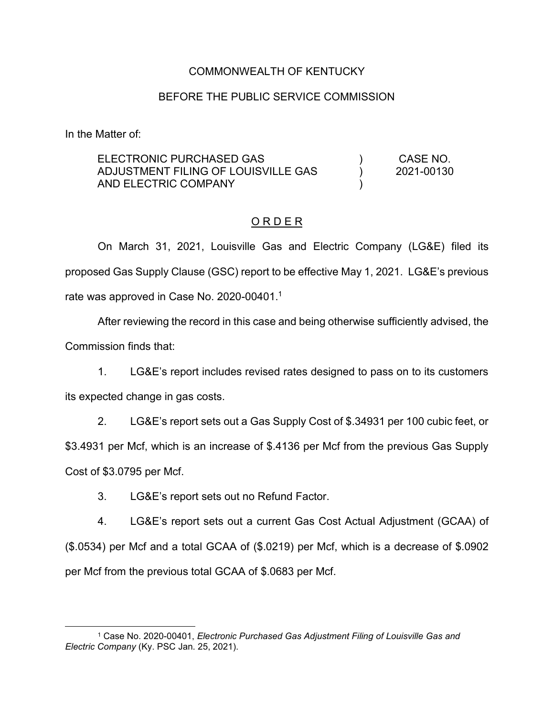## COMMONWEALTH OF KENTUCKY

### BEFORE THE PUBLIC SERVICE COMMISSION

In the Matter of:

ELECTRONIC PURCHASED GAS ADJUSTMENT FILING OF LOUISVILLE GAS AND ELECTRIC COMPANY ) ) ) CASE NO. 2021-00130

#### O R D E R

On March 31, 2021, Louisville Gas and Electric Company (LG&E) filed its proposed Gas Supply Clause (GSC) report to be effective May 1, 2021. LG&E's previous rate was approved in Case No. 2020-00401.<sup>1</sup>

After reviewing the record in this case and being otherwise sufficiently advised, the Commission finds that:

1. LG&E's report includes revised rates designed to pass on to its customers its expected change in gas costs.

2. LG&E's report sets out a Gas Supply Cost of \$.34931 per 100 cubic feet, or \$3.4931 per Mcf, which is an increase of \$.4136 per Mcf from the previous Gas Supply Cost of \$3.0795 per Mcf.

3. LG&E's report sets out no Refund Factor.

4. LG&E's report sets out a current Gas Cost Actual Adjustment (GCAA) of (\$.0534) per Mcf and a total GCAA of (\$.0219) per Mcf, which is a decrease of \$.0902 per Mcf from the previous total GCAA of \$.0683 per Mcf.

<sup>1</sup> Case No. 2020-00401, *Electronic Purchased Gas Adjustment Filing of Louisville Gas and Electric Company* (Ky. PSC Jan. 25, 2021).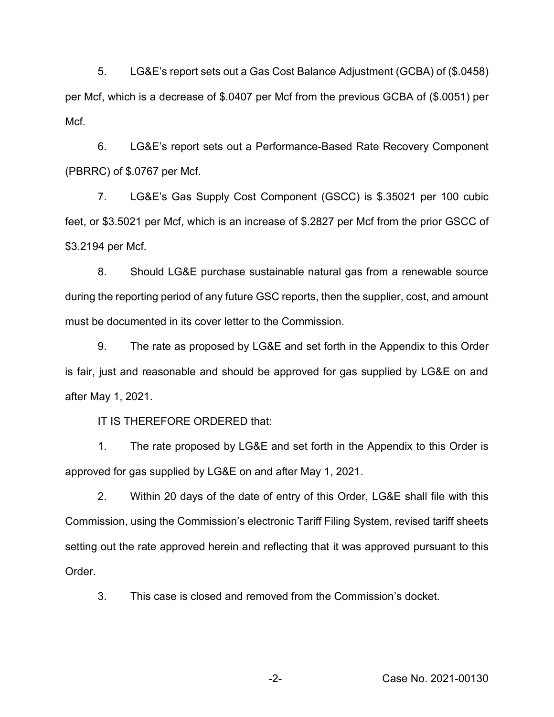5. LG&E's report sets out a Gas Cost Balance Adjustment (GCBA) of (\$.0458) per Mcf, which is a decrease of \$.0407 per Mcf from the previous GCBA of (\$.0051) per Mcf.

6. LG&E's report sets out a Performance-Based Rate Recovery Component (PBRRC) of \$.0767 per Mcf.

7. LG&E's Gas Supply Cost Component (GSCC) is \$.35021 per 100 cubic feet, or \$3.5021 per Mcf, which is an increase of \$.2827 per Mcf from the prior GSCC of \$3.2194 per Mcf.

8. Should LG&E purchase sustainable natural gas from a renewable source during the reporting period of any future GSC reports, then the supplier, cost, and amount must be documented in its cover letter to the Commission.

9. The rate as proposed by LG&E and set forth in the Appendix to this Order is fair, just and reasonable and should be approved for gas supplied by LG&E on and after May 1, 2021.

IT IS THEREFORE ORDERED that:

1. The rate proposed by LG&E and set forth in the Appendix to this Order is approved for gas supplied by LG&E on and after May 1, 2021.

2. Within 20 days of the date of entry of this Order, LG&E shall file with this Commission, using the Commission's electronic Tariff Filing System, revised tariff sheets setting out the rate approved herein and reflecting that it was approved pursuant to this Order.

3. This case is closed and removed from the Commission's docket.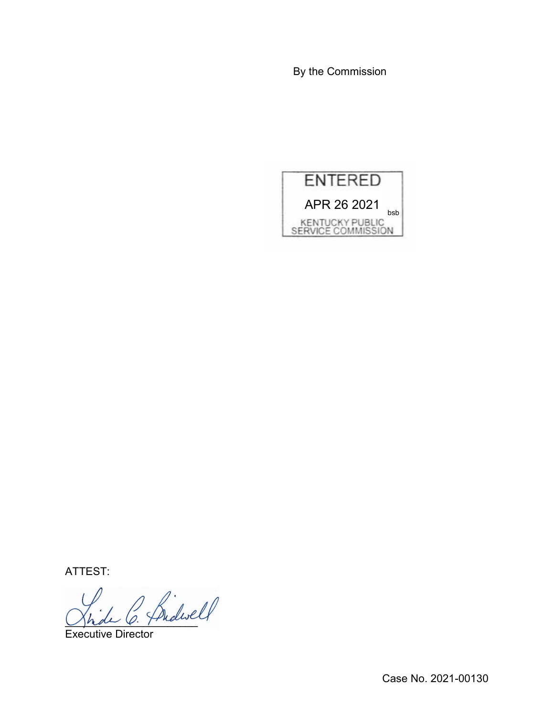By the Commission



ATTEST:

Jhde O. Phaw

Executive Director

Case No. 2021-00130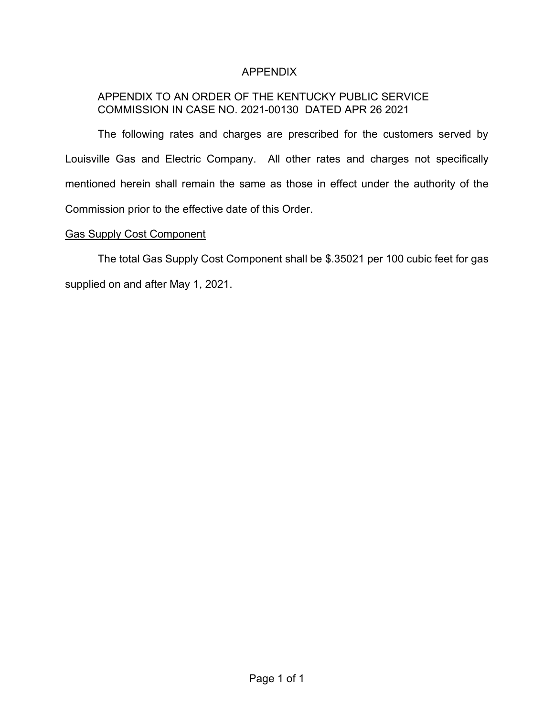# APPENDIX

# APPENDIX TO AN ORDER OF THE KENTUCKY PUBLIC SERVICE COMMISSION IN CASE NO. 2021-00130 DATED APR 26 2021

The following rates and charges are prescribed for the customers served by Louisville Gas and Electric Company. All other rates and charges not specifically mentioned herein shall remain the same as those in effect under the authority of the Commission prior to the effective date of this Order.

### Gas Supply Cost Component

The total Gas Supply Cost Component shall be \$.35021 per 100 cubic feet for gas supplied on and after May 1, 2021.